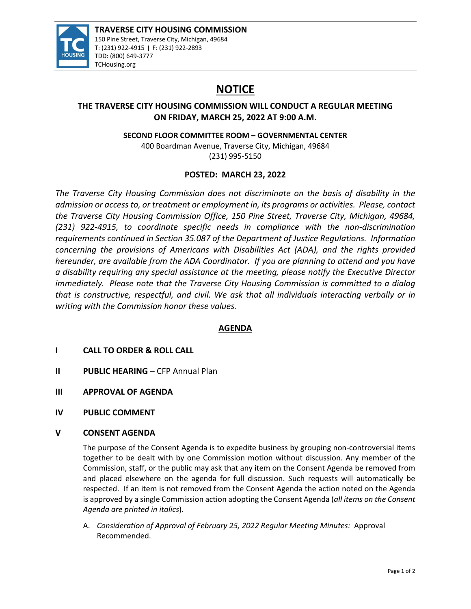

# **NOTICE**

## **THE TRAVERSE CITY HOUSING COMMISSION WILL CONDUCT A REGULAR MEETING ON FRIDAY, MARCH 25, 2022 AT 9:00 A.M.**

**SECOND FLOOR COMMITTEE ROOM – GOVERNMENTAL CENTER**

400 Boardman Avenue, Traverse City, Michigan, 49684 (231) 995‐5150

## **POSTED: MARCH 23, 2022**

*The Traverse City Housing Commission does not discriminate on the basis of disability in the admission or access to, or treatment or employment in, its programs or activities. Please, contact the Traverse City Housing Commission Office, 150 Pine Street, Traverse City, Michigan, 49684, (231) 922‐4915, to coordinate specific needs in compliance with the non‐discrimination requirements continued in Section 35.087 of the Department of Justice Regulations. Information concerning the provisions of Americans with Disabilities Act (ADA), and the rights provided hereunder, are available from the ADA Coordinator. If you are planning to attend and you have a disability requiring any special assistance at the meeting, please notify the Executive Director immediately. Please note that the Traverse City Housing Commission is committed to a dialog that is constructive, respectful, and civil. We ask that all individuals interacting verbally or in writing with the Commission honor these values.*

### **AGENDA**

- **I CALL TO ORDER & ROLL CALL**
- **II PUBLIC HEARING** CFP Annual Plan
- **III APPROVAL OF AGENDA**
- **IV PUBLIC COMMENT**

#### **V CONSENT AGENDA**

The purpose of the Consent Agenda is to expedite business by grouping non-controversial items together to be dealt with by one Commission motion without discussion. Any member of the Commission, staff, or the public may ask that any item on the Consent Agenda be removed from and placed elsewhere on the agenda for full discussion. Such requests will automatically be respected. If an item is not removed from the Consent Agenda the action noted on the Agenda is approved by a single Commission action adopting the Consent Agenda (*all items on the Consent Agenda are printed in italics*).

A. *Consideration of Approval of February 25, 2022 Regular Meeting Minutes:* Approval Recommended.